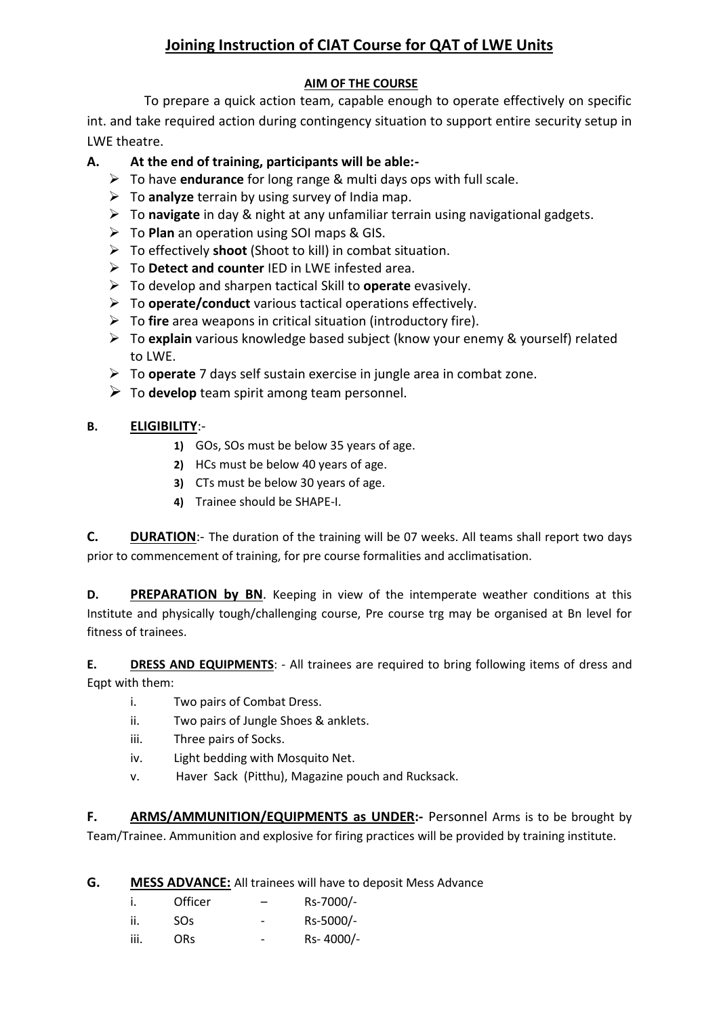# **Joining Instruction of CIAT Course for QAT of LWE Units**

#### **AIM OF THE COURSE**

 To prepare a quick action team, capable enough to operate effectively on specific int. and take required action during contingency situation to support entire security setup in LWE theatre.

### **A. At the end of training, participants will be able:-**

- To have **endurance** for long range & multi days ops with full scale.
- To **analyze** terrain by using survey of India map.
- To **navigate** in day & night at any unfamiliar terrain using navigational gadgets.
- To **Plan** an operation using SOI maps & GIS.
- To effectively **shoot** (Shoot to kill) in combat situation.
- To **Detect and counter** IED in LWE infested area.
- To develop and sharpen tactical Skill to **operate** evasively.
- To **operate/conduct** various tactical operations effectively.
- To **fire** area weapons in critical situation (introductory fire).
- To **explain** various knowledge based subject (know your enemy & yourself) related to LWE.
- To **operate** 7 days self sustain exercise in jungle area in combat zone.
- $\triangleright$  To **develop** team spirit among team personnel.

#### **B. ELIGIBILITY**:-

- **1)** GOs, SOs must be below 35 years of age.
- **2)** HCs must be below 40 years of age.
- **3)** CTs must be below 30 years of age.
- **4)** Trainee should be SHAPE-I.

**C.** DURATION:- The duration of the training will be 07 weeks. All teams shall report two days prior to commencement of training, for pre course formalities and acclimatisation.

**D. PREPARATION by BN**. Keeping in view of the intemperate weather conditions at this Institute and physically tough/challenging course, Pre course trg may be organised at Bn level for fitness of trainees.

**E. DRESS AND EQUIPMENTS**: - All trainees are required to bring following items of dress and Eqpt with them:

- i. Two pairs of Combat Dress.
- ii. Two pairs of Jungle Shoes & anklets.
- iii. Three pairs of Socks.
- iv. Light bedding with Mosquito Net.
- v. Haver Sack (Pitthu), Magazine pouch and Rucksack.

**F. ARMS/AMMUNITION/EQUIPMENTS as UNDER:-** Personnel Arms is to be brought by Team/Trainee. Ammunition and explosive for firing practices will be provided by training institute.

**G. MESS ADVANCE:** All trainees will have to deposit Mess Advance

|      | Officer         | $\overline{\phantom{0}}$ | Rs-7000/- |
|------|-----------------|--------------------------|-----------|
| ii.  | SO <sub>S</sub> |                          | Rs-5000/- |
| iii. | ORs             | $\overline{\phantom{0}}$ | Rs-4000/- |